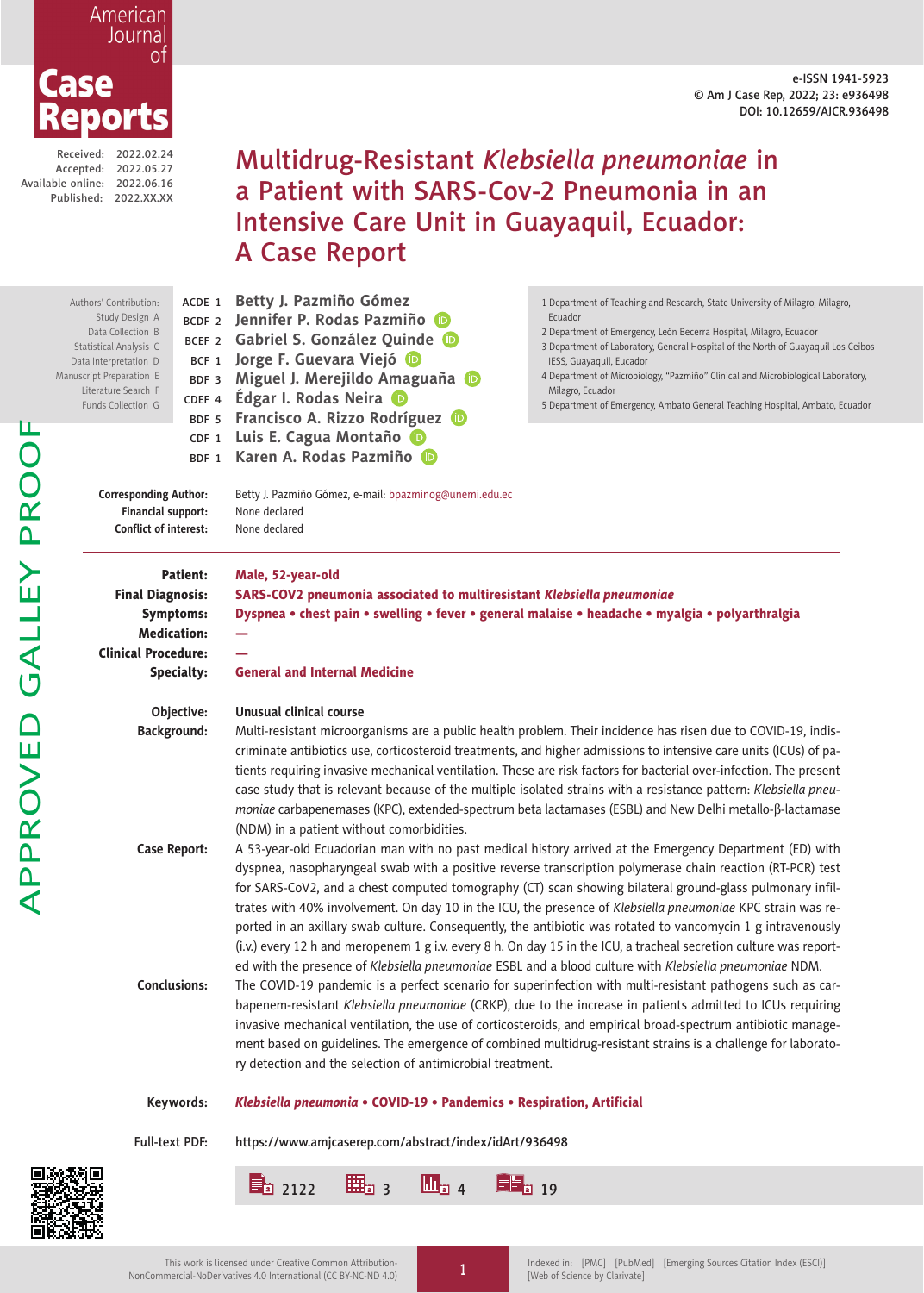#### e-ISSN 1941-5923 © Am J Case Rep, 2022; 23: e936498 DOI: 10.12659/AJCR.936498

APPROVED GALLEY PROOFAPPROVED GALLEY PROO

Received: 2022.02.24 Accepted: 2022.05.27 Available online: 2022.06.16 Published: 2022.XX.XX

Case

American Journal

> Multidrug-Resistant *Klebsiella pneumoniae* in a Patient with SARS-Cov-2 Pneumonia in an Intensive Care Unit in Guayaquil, Ecuador: A Case Report

ACDE <sup>1</sup> **Betty J. Pazmiño Gómez** BCDF <sup>2</sup> **Jennifer P. Rodas Pazmiño** BCEF <sup>2</sup> **Gabriel S. González Qu[ind](https://orcid.org/0000-0003-2615-9872)e** BCF <sup>1</sup> **Jorge F. Guevara Viejó** BDF <sup>3</sup> **Miguel J. Merejildo A[ma](https://orcid.org/0000-0001-6376-2940)guaña** CDEF <sup>4</sup> **Édgar I. Rodas Neira** BDF <sup>5</sup> **Francisco A. Rizzo Rodríguez** CDF <sup>1</sup> **Luis E. Cagua Montaño** BDF <sup>1</sup> **Karen A. Rodas Pazmiño Corresponding Author:** Betty J. Pazmiño Gómez, e-mail: bpazminog@unemi.edu.ec **Financial support:** None declared **Conflict of interest:** None declared Patient: Male, 52-year-old Final Diagnosis: SARS-COV2 pneumonia associated to multiresistant *Klebsiella pneumoniae* Symptoms: Dyspnea • chest pain • swelling • fever • general malaise • headache • myalgia • polyarthralgia Medication: — **Clinical Procedure:** Specialty: General and Internal Medicine **Objective: Unusual clinical course Background:** Multi-resistant microorganisms are a public health problem. Their incidence has risen due to COVID-19, indiscriminate antibiotics use, corticosteroid treatments, and higher admissions to intensive care units (ICUs) of patients requiring invasive mechanical ventilation. These are risk factors for bacterial over-infection. The present case study that is relevant because of the multiple isolated strains with a resistance pattern: *Klebsiella pneumoniae* carbapenemases (KPC), extended-spectrum beta lactamases (ESBL) and New Delhi metallo-b-lactamase (NDM) in a patient without comorbidities. **Case Report:** A 53-year-old Ecuadorian man with no past medical history arrived at the Emergency Department (ED) with dyspnea, nasopharyngeal swab with a positive reverse transcription polymerase chain reaction (RT-PCR) test for SARS-CoV2, and a chest computed tomography (CT) scan showing bilateral ground-glass pulmonary infiltrates with 40% involvement. On day 10 in the ICU, the presence of *Klebsiella pneumoniae* KPC strain was reported in an axillary swab culture. Consequently, the antibiotic was rotated to vancomycin 1 g intravenously (i.v.) every 12 h and meropenem 1 g i.v. every 8 h. On day 15 in the ICU, a tracheal secretion culture was reported with the presence of *Klebsiella pneumoniae* ESBL and a blood culture with *Klebsiella pneumoniae* NDM. **Conclusions:** The COVID-19 pandemic is a perfect scenario for superinfection with multi-resistant pathogens such as carbapenem-resistant *Klebsiella pneumoniae* (CRKP), due to the increase in patients admitted to ICUs requiring invasive mechanical ventilation, the use of corticosteroids, and empirical broad-spectrum antibiotic management based on guidelines. The emergence of combined multidrug-resistant strains is a challenge for laboratory detection and the selection of antimicrobial treatment. Authors' Contribution: Study Design A Data Collection B Statistical Analysis C Data Interpretation D Manuscript Preparation E Literature Search F Funds Collection G 1 Department of Teaching and Research, State University of Milagro, Milagro, Ecuador 2 Department of Emergency, León Becerra Hospital, Milagro, Ecuador 3 Department of Laboratory, General Hospital of the North of Guayaquil Los Ceibos IESS, Guayaquil, Eucador 4 Department of Microbiology, "Pazmiño" Clinical and Microbiological Laboratory, Milagro, Ecuador 5 Department of Emergency, Ambato General Teaching Hospital, Ambato, Ecuador

### **Keywords:** *Klebsiella pneumonia* • COVID-19 • Pandemics • Respiration, Artificial

Full-text PDF: https://www.amjcaserep.com/abstract/index/idArt/936498

 $\begin{array}{|c|c|c|c|c|}\hline \textbf{1} & \textbf{2} & \textbf{2} & \textbf{2} & \textbf{2} & \textbf{2} & \textbf{2} & \textbf{2} & \textbf{2} & \textbf{2} & \textbf{2} & \textbf{2} & \textbf{2} & \textbf{2} & \textbf{2} & \textbf{2} & \textbf{2} & \textbf{2} & \textbf{2} & \textbf{2} & \textbf{2} & \textbf{2} & \textbf{2} & \textbf{2} & \textbf{2} & \textbf{2} & \textbf{2} & \textbf{2} & \textbf{2$ 

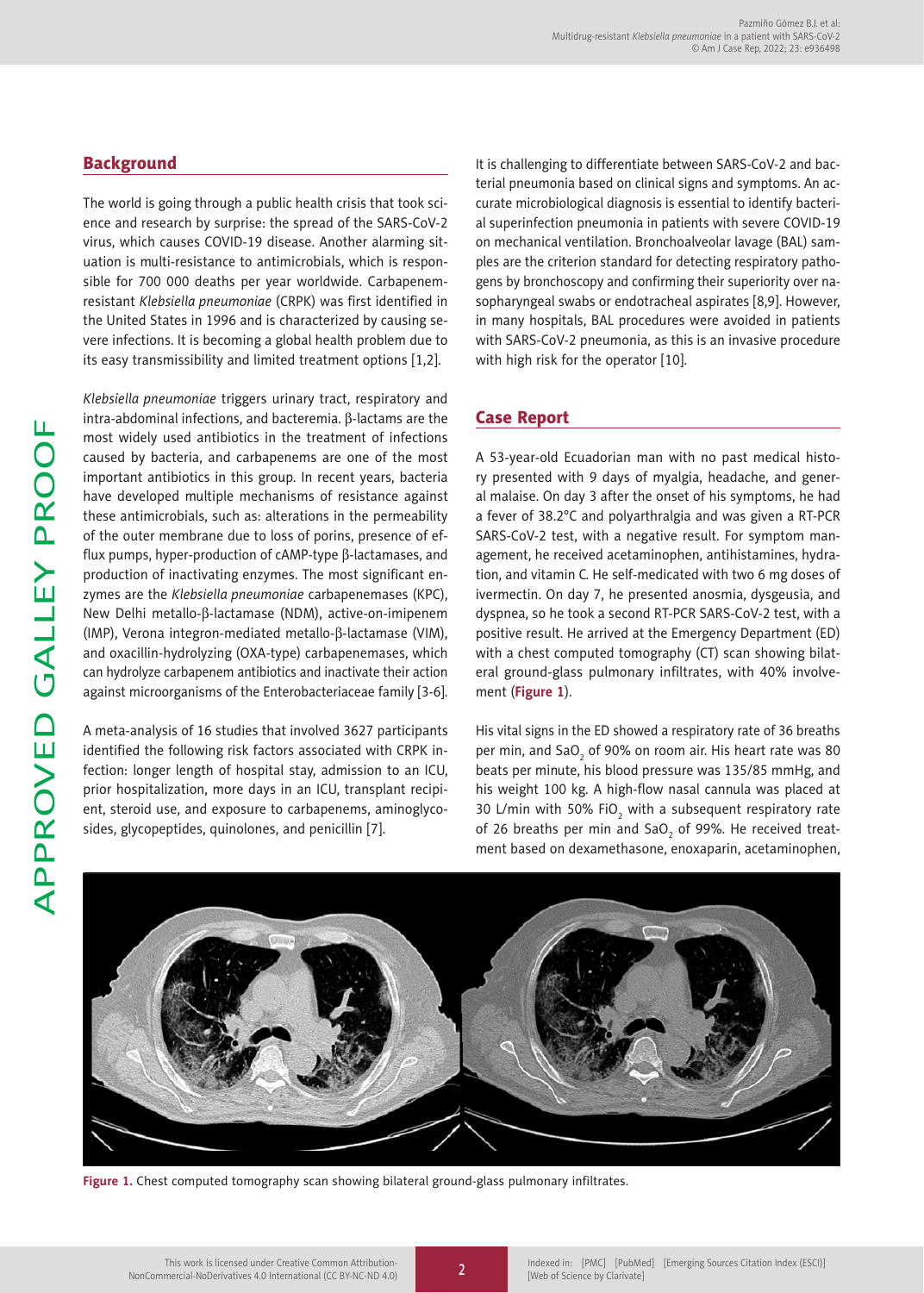# **Background**

The world is going through a public health crisis that took science and research by surprise: the spread of the SARS-CoV-2 virus, which causes COVID-19 disease. Another alarming situation is multi-resistance to antimicrobials, which is responsible for 700 000 deaths per year worldwide. Carbapenemresistant *Klebsiella pneumoniae* (CRPK) was first identified in the United States in 1996 and is characterized by causing severe infections. It is becoming a global health problem due to its easy transmissibility and limited treatment options [1,2].

*Klebsiella pneumoniae* triggers urinary tract, respiratory and intra-abdominal infections, and bacteremia.  $\beta$ -lactams are the most widely used antibiotics in the treatment of infections caused by bacteria, and carbapenems are one of the most important antibiotics in this group. In recent years, bacteria have developed multiple mechanisms of resistance against these antimicrobials, such as: alterations in the permeability of the outer membrane due to loss of porins, presence of efflux pumps, hyper-production of  $c$ AMP-type  $\beta$ -lactamases, and production of inactivating enzymes. The most significant enzymes are the *Klebsiella pneumoniae* carbapenemases (KPC), New Delhi metallo-β-lactamase (NDM), active-on-imipenem (IMP), Verona integron-mediated metallo-b-lactamase (VIM), and oxacillin-hydrolyzing (OXA-type) carbapenemases, which can hydrolyze carbapenem antibiotics and inactivate their action against microorganisms of the Enterobacteriaceae family [3-6].

A meta-analysis of 16 studies that involved 3627 participants identified the following risk factors associated with CRPK infection: longer length of hospital stay, admission to an ICU, prior hospitalization, more days in an ICU, transplant recipient, steroid use, and exposure to carbapenems, aminoglycosides, glycopeptides, quinolones, and penicillin [7].

It is challenging to differentiate between SARS-CoV-2 and bacterial pneumonia based on clinical signs and symptoms. An accurate microbiological diagnosis is essential to identify bacterial superinfection pneumonia in patients with severe COVID-19 on mechanical ventilation. Bronchoalveolar lavage (BAL) samples are the criterion standard for detecting respiratory pathogens by bronchoscopy and confirming their superiority over nasopharyngeal swabs or endotracheal aspirates [8,9]. However, in many hospitals, BAL procedures were avoided in patients with SARS-CoV-2 pneumonia, as this is an invasive procedure with high risk for the operator [10].

# Case Report

A 53-year-old Ecuadorian man with no past medical history presented with 9 days of myalgia, headache, and general malaise. On day 3 after the onset of his symptoms, he had a fever of 38.2°C and polyarthralgia and was given a RT-PCR SARS-CoV-2 test, with a negative result. For symptom management, he received acetaminophen, antihistamines, hydration, and vitamin C. He self-medicated with two 6 mg doses of ivermectin. On day 7, he presented anosmia, dysgeusia, and dyspnea, so he took a second RT-PCR SARS-CoV-2 test, with a positive result. He arrived at the Emergency Department (ED) with a chest computed tomography (CT) scan showing bilateral ground-glass pulmonary infiltrates, with 40% involvement (**Figure 1**).

His vital signs in the ED showed a respiratory rate of 36 breaths per min, and SaO $_{_2}$  of 90% on room air. His heart rate was 80  $\,$ beats per minute, his blood pressure was 135/85 mmHg, and his weight 100 kg. A high-flow nasal cannula was placed at 30 L/min with 50% FiO<sub>2</sub> with a subsequent respiratory rate of 26 breaths per min and SaO $_{_2}$  of 99%. He received treatment based on dexamethasone, enoxaparin, acetaminophen,



**Figure 1.** Chest computed tomography scan showing bilateral ground-glass pulmonary infiltrates.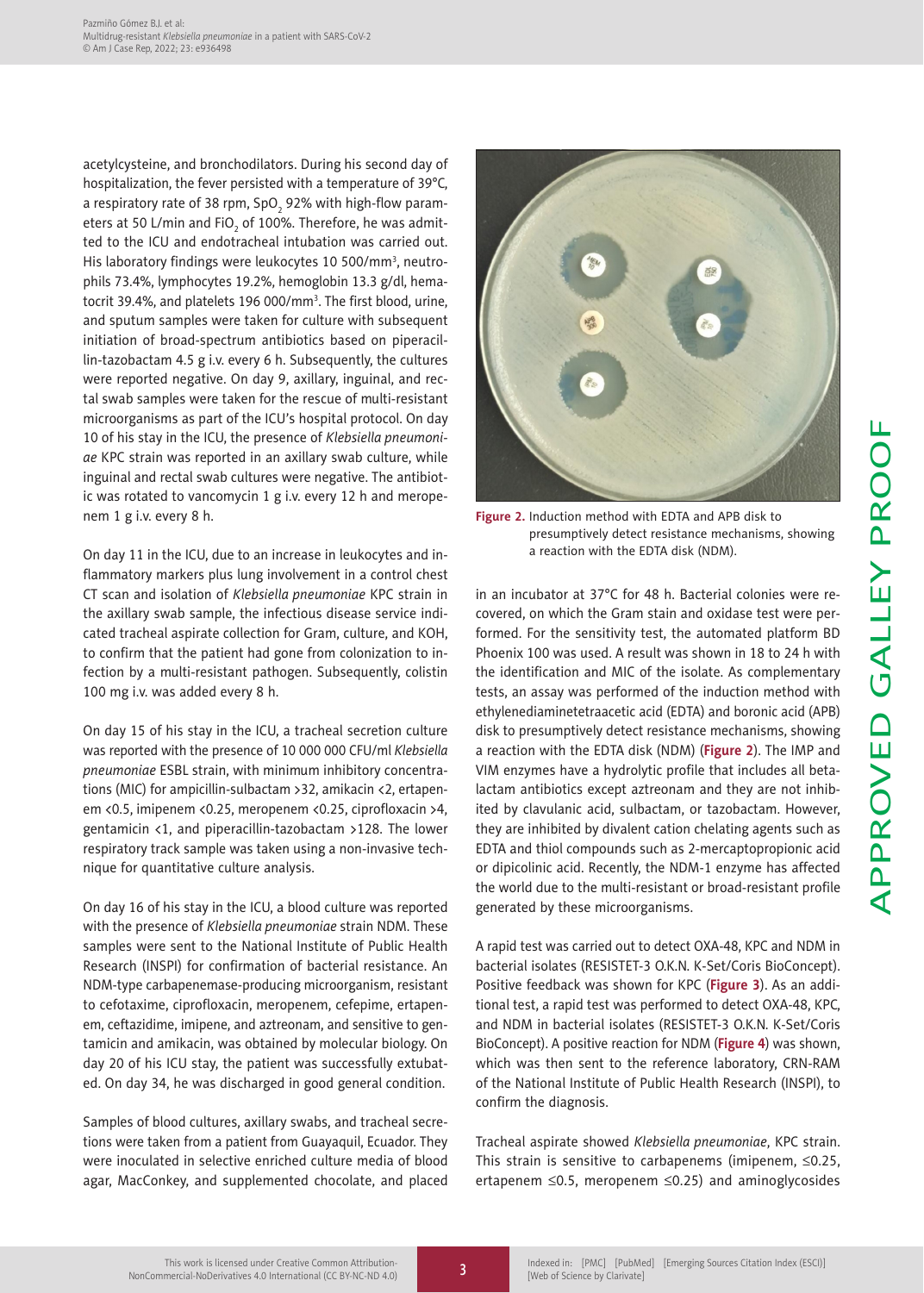acetylcysteine, and bronchodilators. During his second day of hospitalization, the fever persisted with a temperature of 39°C, a respiratory rate of 38 rpm, SpO $_2$  92% with high-flow parameters at 50 L/min and FiO $_{\rm 2}$  of 100%. Therefore, he was admitted to the ICU and endotracheal intubation was carried out. His laboratory findings were leukocytes 10 500/mm<sup>3</sup>, neutrophils 73.4%, lymphocytes 19.2%, hemoglobin 13.3 g/dl, hematocrit 39.4%, and platelets 196 000/mm<sup>3</sup>. The first blood, urine, and sputum samples were taken for culture with subsequent initiation of broad-spectrum antibiotics based on piperacillin-tazobactam 4.5 g i.v. every 6 h. Subsequently, the cultures were reported negative. On day 9, axillary, inguinal, and rectal swab samples were taken for the rescue of multi-resistant microorganisms as part of the ICU's hospital protocol. On day 10 of his stay in the ICU, the presence of *Klebsiella pneumoniae* KPC strain was reported in an axillary swab culture, while inguinal and rectal swab cultures were negative. The antibiotic was rotated to vancomycin 1 g i.v. every 12 h and meropenem 1 g i.v. every 8 h.

On day 11 in the ICU, due to an increase in leukocytes and inflammatory markers plus lung involvement in a control chest CT scan and isolation of *Klebsiella pneumoniae* KPC strain in the axillary swab sample, the infectious disease service indicated tracheal aspirate collection for Gram, culture, and KOH, to confirm that the patient had gone from colonization to infection by a multi-resistant pathogen. Subsequently, colistin 100 mg i.v. was added every 8 h.

On day 15 of his stay in the ICU, a tracheal secretion culture was reported with the presence of 10 000 000 CFU/ml *Klebsiella pneumoniae* ESBL strain, with minimum inhibitory concentrations (MIC) for ampicillin-sulbactam >32, amikacin <2, ertapenem <0.5, imipenem <0.25, meropenem <0.25, ciprofloxacin >4, gentamicin <1, and piperacillin-tazobactam >128. The lower respiratory track sample was taken using a non-invasive technique for quantitative culture analysis.

On day 16 of his stay in the ICU, a blood culture was reported with the presence of *Klebsiella pneumoniae* strain NDM. These samples were sent to the National Institute of Public Health Research (INSPI) for confirmation of bacterial resistance. An NDM-type carbapenemase-producing microorganism, resistant to cefotaxime, ciprofloxacin, meropenem, cefepime, ertapenem, ceftazidime, imipene, and aztreonam, and sensitive to gentamicin and amikacin, was obtained by molecular biology. On day 20 of his ICU stay, the patient was successfully extubated. On day 34, he was discharged in good general condition.

Samples of blood cultures, axillary swabs, and tracheal secretions were taken from a patient from Guayaquil, Ecuador. They were inoculated in selective enriched culture media of blood agar, MacConkey, and supplemented chocolate, and placed

![](_page_2_Figure_6.jpeg)

**Figure 2.** Induction method with EDTA and APB disk to presumptively detect resistance mechanisms, showing a reaction with the EDTA disk (NDM).

in an incubator at 37°C for 48 h. Bacterial colonies were recovered, on which the Gram stain and oxidase test were performed. For the sensitivity test, the automated platform BD Phoenix 100 was used. A result was shown in 18 to 24 h with the identification and MIC of the isolate. As complementary tests, an assay was performed of the induction method with ethylenediaminetetraacetic acid (EDTA) and boronic acid (APB) disk to presumptively detect resistance mechanisms, showing a reaction with the EDTA disk (NDM) (**Figure 2**). The IMP and VIM enzymes have a hydrolytic profile that includes all betalactam antibiotics except aztreonam and they are not inhibited by clavulanic acid, sulbactam, or tazobactam. However, they are inhibited by divalent cation chelating agents such as EDTA and thiol compounds such as 2-mercaptopropionic acid or dipicolinic acid. Recently, the NDM-1 enzyme has affected the world due to the multi-resistant or broad-resistant profile generated by these microorganisms.

A rapid test was carried out to detect OXA-48, KPC and NDM in bacterial isolates (RESISTET-3 O.K.N. K-Set/Coris BioConcept). Positive feedback was shown for KPC (**Figure 3**). As an additional test, a rapid test was performed to detect OXA-48, KPC, and NDM in bacterial isolates (RESISTET-3 O.K.N. K-Set/Coris BioConcept). A positive reaction for NDM (**Figure 4**) was shown, which was then sent to the reference laboratory, CRN-RAM of the National Institute of Public Health Research (INSPI), to confirm the diagnosis.

Tracheal aspirate showed *Klebsiella pneumoniae*, KPC strain. This strain is sensitive to carbapenems (imipenem,  $\leq 0.25$ , ertapenem  $\leq$ 0.5, meropenem  $\leq$ 0.25) and aminoglycosides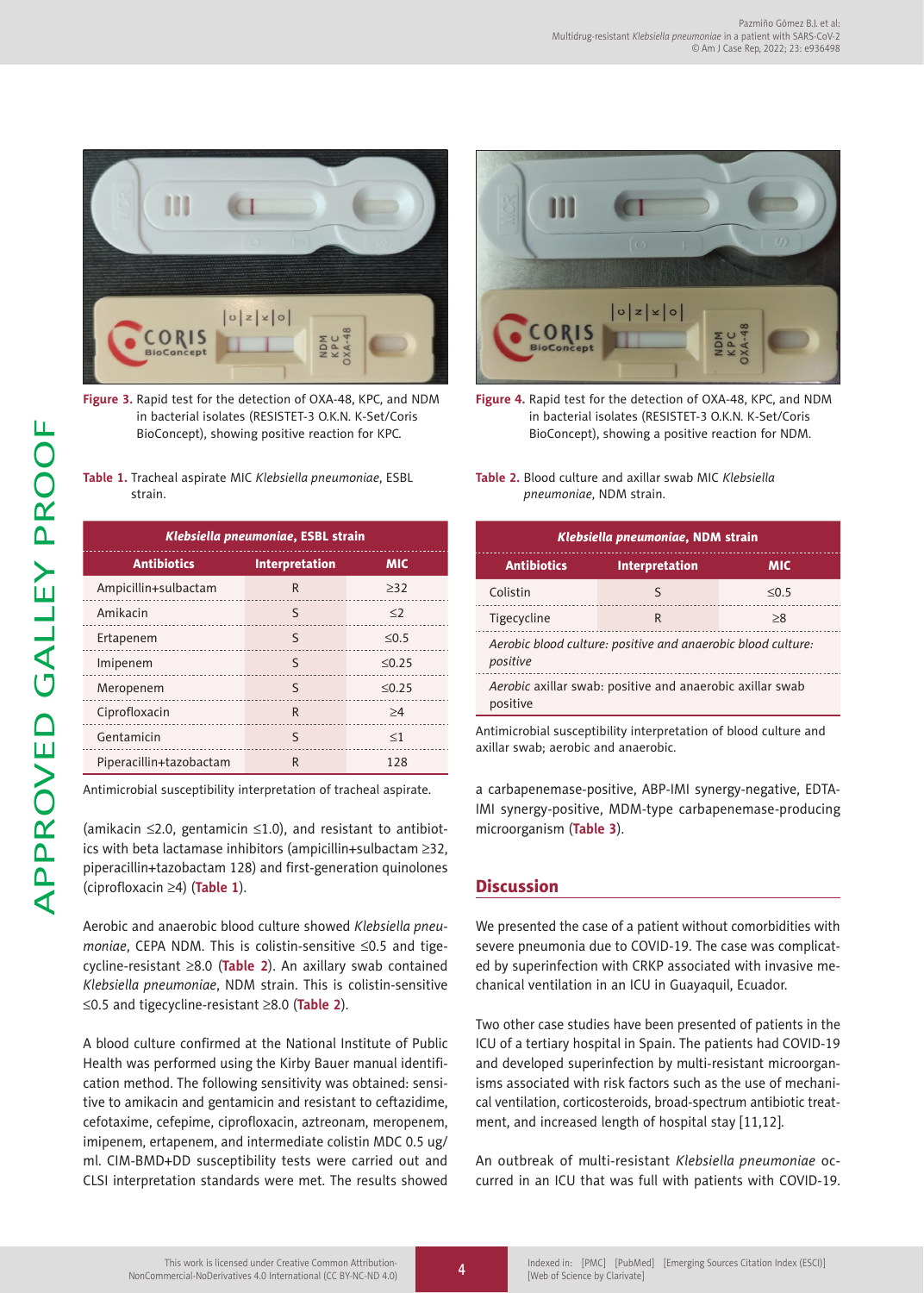![](_page_3_Picture_1.jpeg)

**Figure 3.** Rapid test for the detection of OXA-48, KPC, and NDM in bacterial isolates (RESISTET-3 O.K.N. K-Set/Coris BioConcept), showing positive reaction for KPC.

| Table 1. Tracheal aspirate MIC Klebsiella pneumoniae, ESBL |
|------------------------------------------------------------|
| strain.                                                    |
|                                                            |

| Klebsiella pneumoniae, ESBL strain |                |             |  |  |
|------------------------------------|----------------|-------------|--|--|
| <b>Antibiotics</b>                 | Interpretation | <b>MIC</b>  |  |  |
| Ampicillin+sulbactam               | $\mathsf{R}$   | >32         |  |  |
| Amikacin                           | $\varsigma$    | $\leq$ 2    |  |  |
| Ertapenem                          | $\varsigma$    | $\leq 0.5$  |  |  |
| Imipenem                           | S              | $\leq 0.25$ |  |  |
| Meropenem                          | $\varsigma$    | $\leq 0.25$ |  |  |
| Ciprofloxacin                      | $\mathsf{R}$   | >4          |  |  |
| Gentamicin                         | $\varsigma$    | $\leq$ 1    |  |  |
| Piperacillin+tazobactam            | R              | 128         |  |  |

Antimicrobial susceptibility interpretation of tracheal aspirate.

(amikacin  $\leq$ 2.0, gentamicin  $\leq$ 1.0), and resistant to antibiotics with beta lactamase inhibitors (ampicillin+sulbactam  $\geq 32$ , piperacillin+tazobactam 128) and first-generation quinolones (ciprofloxacin ³4) (**Table 1**).

Aerobic and anaerobic blood culture showed *Klebsiella pneumoniae*, CEPA NDM. This is colistin-sensitive ≤0.5 and tigecycline-resistant ³8.0 (**Table 2**). An axillary swab contained *Klebsiella pneumoniae*, NDM strain. This is colistin-sensitive £0.5 and tigecycline-resistant ³8.0 (**Table 2**).

A blood culture confirmed at the National Institute of Public Health was performed using the Kirby Bauer manual identification method. The following sensitivity was obtained: sensitive to amikacin and gentamicin and resistant to ceftazidime, cefotaxime, cefepime, ciprofloxacin, aztreonam, meropenem, imipenem, ertapenem, and intermediate colistin MDC 0.5 ug/ ml. CIM-BMD+DD susceptibility tests were carried out and CLSI interpretation standards were met. The results showed

![](_page_3_Picture_9.jpeg)

**Figure 4.** Rapid test for the detection of OXA-48, KPC, and NDM in bacterial isolates (RESISTET-3 O.K.N. K-Set/Coris BioConcept), showing a positive reaction for NDM.

|  |                                 |  |  | Table 2. Blood culture and axillar swab MIC Klebsiella |  |
|--|---------------------------------|--|--|--------------------------------------------------------|--|
|  | <i>pneumoniae</i> , NDM strain. |  |  |                                                        |  |

| Klebsiella pneumoniae, NDM strain                                                                              |                       |            |  |  |  |
|----------------------------------------------------------------------------------------------------------------|-----------------------|------------|--|--|--|
| <b>Antibiotics</b>                                                                                             | <b>Interpretation</b> | <b>MIC</b> |  |  |  |
| Colistin                                                                                                       | ς                     | $\leq 0.5$ |  |  |  |
| Tigecycline                                                                                                    | R                     | >8         |  |  |  |
| Aerobic blood culture: positive and anaerobic blood culture:<br>positive                                       |                       |            |  |  |  |
| Aerobic axillar swab: positive and anaerobic axillar swab<br>positive                                          |                       |            |  |  |  |
| A contract come la tradica come anomatic titular tradica concernant come and finite and incontract come and al |                       |            |  |  |  |

Antimicrobial susceptibility interpretation of blood culture and axillar swab; aerobic and anaerobic.

a carbapenemase-positive, ABP-IMI synergy-negative, EDTA-IMI synergy-positive, MDM-type carbapenemase-producing microorganism (**Table 3**).

## **Discussion**

We presented the case of a patient without comorbidities with severe pneumonia due to COVID-19. The case was complicated by superinfection with CRKP associated with invasive mechanical ventilation in an ICU in Guayaquil, Ecuador.

Two other case studies have been presented of patients in the ICU of a tertiary hospital in Spain. The patients had COVID-19 and developed superinfection by multi-resistant microorganisms associated with risk factors such as the use of mechanical ventilation, corticosteroids, broad-spectrum antibiotic treatment, and increased length of hospital stay [11,12].

An outbreak of multi-resistant *Klebsiella pneumoniae* occurred in an ICU that was full with patients with COVID-19.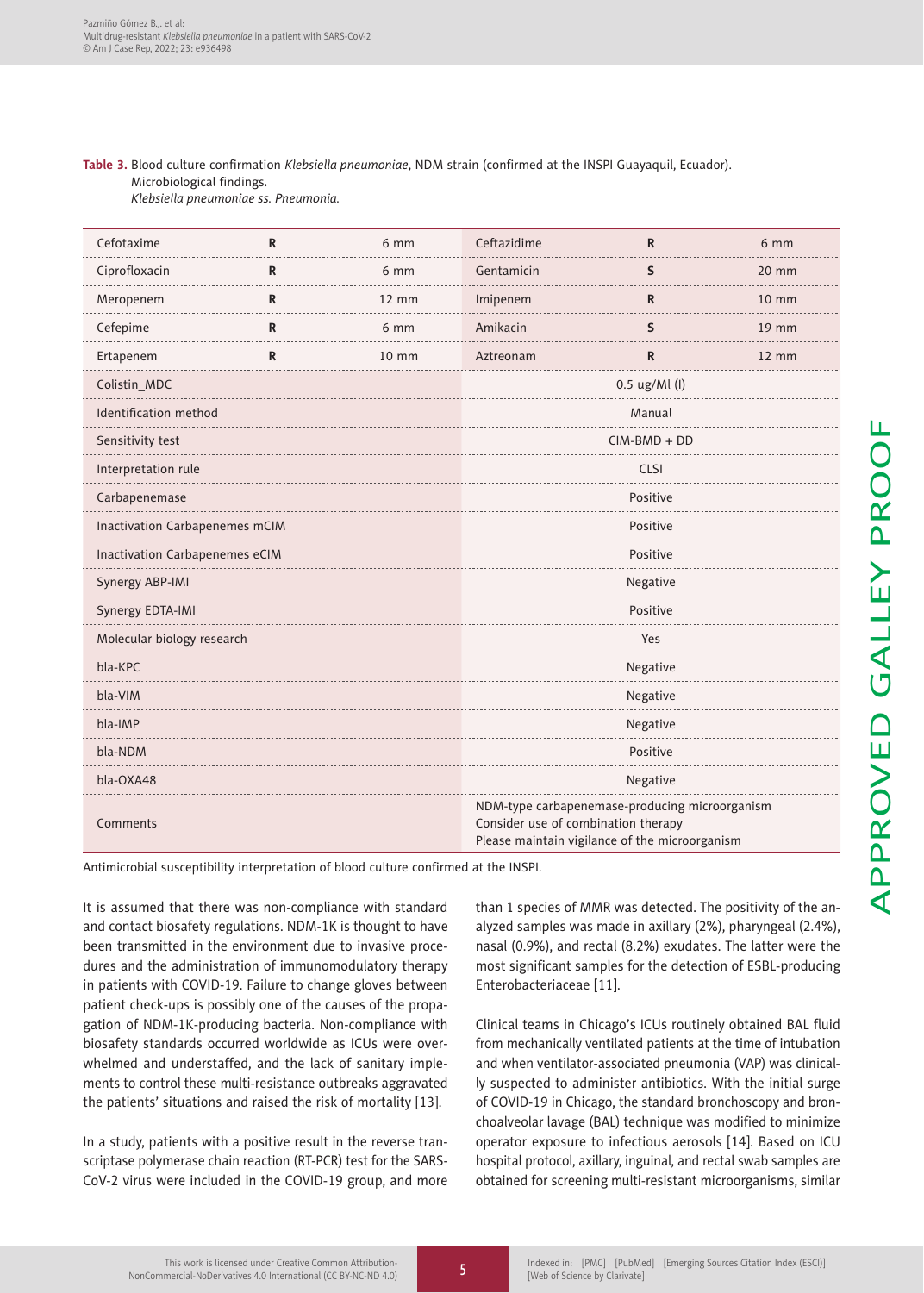### **Table 3.** Blood culture confirmation *Klebsiella pneumoniae*, NDM strain (confirmed at the INSPI Guayaquil, Ecuador). Microbiological findings. *Klebsiella pneumoniae ss. Pneumonia.*

| Cefotaxime                                                                                                                   | $\mathsf{R}$ | 6 mm            | Ceftazidime                                                                                                                             | $\mathsf{R}$  | 6 mm            |  |
|------------------------------------------------------------------------------------------------------------------------------|--------------|-----------------|-----------------------------------------------------------------------------------------------------------------------------------------|---------------|-----------------|--|
| Ciprofloxacin                                                                                                                | R            | 6 mm            | Gentamicin                                                                                                                              | S             | 20 mm           |  |
| Meropenem                                                                                                                    | R            | $12 \text{ mm}$ | Imipenem                                                                                                                                | R             | 10 mm           |  |
| Cefepime                                                                                                                     | R            | 6 mm            | Amikacin                                                                                                                                | S             | 19 mm           |  |
| Ertapenem                                                                                                                    | ${\sf R}$    | $10 \text{ mm}$ | Aztreonam                                                                                                                               | R             | $12 \text{ mm}$ |  |
| Colistin_MDC                                                                                                                 |              |                 |                                                                                                                                         | 0.5 ug/Ml (I) |                 |  |
| Identification method                                                                                                        |              |                 | Manual                                                                                                                                  |               |                 |  |
| Sensitivity test                                                                                                             |              |                 | $CIM-BMD + DD$                                                                                                                          |               |                 |  |
| Interpretation rule                                                                                                          |              |                 | <b>CLSI</b>                                                                                                                             |               |                 |  |
| Carbapenemase                                                                                                                |              |                 | Positive                                                                                                                                |               |                 |  |
| Inactivation Carbapenemes mCIM                                                                                               |              |                 | Positive                                                                                                                                |               |                 |  |
| Inactivation Carbapenemes eCIM                                                                                               |              |                 | Positive                                                                                                                                |               |                 |  |
| Synergy ABP-IMI                                                                                                              |              |                 | Negative                                                                                                                                |               |                 |  |
| <b>Synergy EDTA-IMI</b>                                                                                                      |              |                 | Positive                                                                                                                                |               |                 |  |
| Molecular biology research                                                                                                   |              |                 | Yes                                                                                                                                     |               |                 |  |
| bla-KPC                                                                                                                      |              |                 | Negative                                                                                                                                |               |                 |  |
| bla-VIM                                                                                                                      |              |                 | Negative                                                                                                                                |               |                 |  |
| bla-IMP                                                                                                                      |              |                 | Negative                                                                                                                                |               |                 |  |
| bla-NDM                                                                                                                      |              |                 | Positive                                                                                                                                |               |                 |  |
| bla-OXA48                                                                                                                    |              |                 | Negative                                                                                                                                |               |                 |  |
| Comments                                                                                                                     |              |                 | NDM-type carbapenemase-producing microorganism<br>Consider use of combination therapy<br>Please maintain vigilance of the microorganism |               |                 |  |
| and the fit to the complete the could be a discussion of the could be a three DNCDL.<br>والمتمار المتقاط والمستنقش والمنافسة |              |                 |                                                                                                                                         |               |                 |  |

Antimicrobial susceptibility interpretation of blood culture confirmed at the INSPI.

It is assumed that there was non-compliance with standard and contact biosafety regulations. NDM-1K is thought to have been transmitted in the environment due to invasive procedures and the administration of immunomodulatory therapy in patients with COVID-19. Failure to change gloves between patient check-ups is possibly one of the causes of the propagation of NDM-1K-producing bacteria. Non-compliance with biosafety standards occurred worldwide as ICUs were overwhelmed and understaffed, and the lack of sanitary implements to control these multi-resistance outbreaks aggravated the patients' situations and raised the risk of mortality [13].

In a study, patients with a positive result in the reverse transcriptase polymerase chain reaction (RT-PCR) test for the SARS-CoV-2 virus were included in the COVID-19 group, and more

than 1 species of MMR was detected. The positivity of the analyzed samples was made in axillary (2%), pharyngeal (2.4%), nasal (0.9%), and rectal (8.2%) exudates. The latter were the most significant samples for the detection of ESBL-producing Enterobacteriaceae [11].

Clinical teams in Chicago's ICUs routinely obtained BAL fluid from mechanically ventilated patients at the time of intubation and when ventilator-associated pneumonia (VAP) was clinically suspected to administer antibiotics. With the initial surge of COVID-19 in Chicago, the standard bronchoscopy and bronchoalveolar lavage (BAL) technique was modified to minimize operator exposure to infectious aerosols [14]. Based on ICU hospital protocol, axillary, inguinal, and rectal swab samples are obtained for screening multi-resistant microorganisms, similar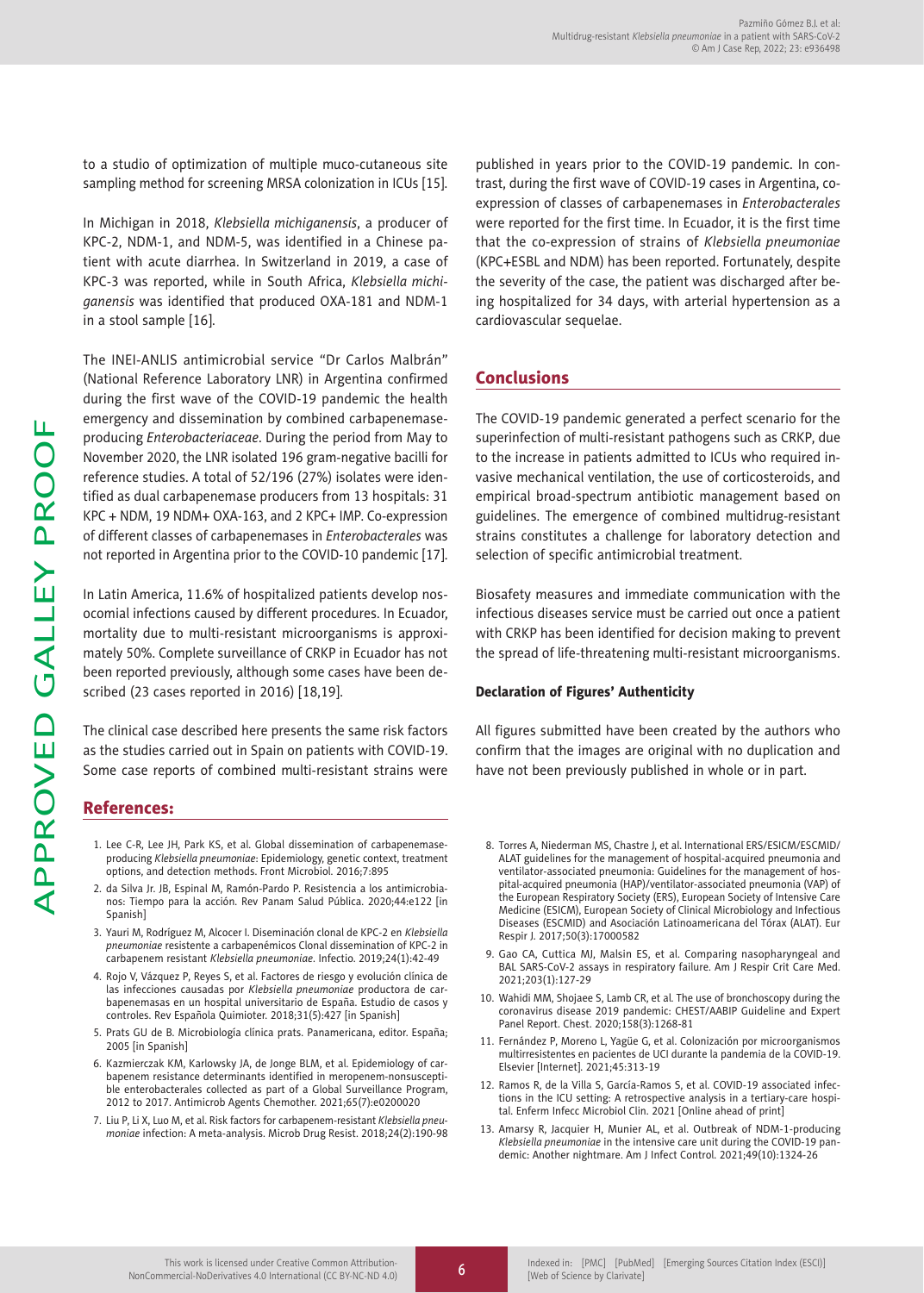to a studio of optimization of multiple muco-cutaneous site sampling method for screening MRSA colonization in ICUs [15].

In Michigan in 2018, *Klebsiella michiganensis*, a producer of KPC-2, NDM-1, and NDM-5, was identified in a Chinese patient with acute diarrhea. In Switzerland in 2019, a case of KPC-3 was reported, while in South Africa, *Klebsiella michiganensis* was identified that produced OXA-181 and NDM-1 in a stool sample [16].

The INEI-ANLIS antimicrobial service "Dr Carlos Malbrán" (National Reference Laboratory LNR) in Argentina confirmed during the first wave of the COVID-19 pandemic the health emergency and dissemination by combined carbapenemaseproducing *Enterobacteriaceae*. During the period from May to November 2020, the LNR isolated 196 gram-negative bacilli for reference studies. A total of 52/196 (27%) isolates were identified as dual carbapenemase producers from 13 hospitals: 31 KPC + NDM, 19 NDM+ OXA-163, and 2 KPC+ IMP. Co-expression of different classes of carbapenemases in *Enterobacterales* was not reported in Argentina prior to the COVID-10 pandemic [17].

In Latin America, 11.6% of hospitalized patients develop nosocomial infections caused by different procedures. In Ecuador, mortality due to multi-resistant microorganisms is approximately 50%. Complete surveillance of CRKP in Ecuador has not been reported previously, although some cases have been described (23 cases reported in 2016) [18,19].

The clinical case described here presents the same risk factors as the studies carried out in Spain on patients with COVID-19. Some case reports of combined multi-resistant strains were

## References:

- 1. Lee C-R, Lee JH, Park KS, et al. Global dissemination of carbapenemaseproducing *Klebsiella pneumoniae*: Epidemiology, genetic context, treatment options, and detection methods. Front Microbiol. 2016;7:895
- 2. da Silva Jr. JB, Espinal M, Ramón-Pardo P. Resistencia a los antimicrobianos: Tiempo para la acción. Rev Panam Salud Pública. 2020;44:e122 [in Spanish]
- 3. Yauri M, Rodríguez M, Alcocer I. Diseminación clonal de KPC-2 en *Klebsiella pneumoniae* resistente a carbapenémicos Clonal dissemination of KPC-2 in carbapenem resistant *Klebsiella pneumoniae*. Infectio. 2019;24(1):42-49
- 4. Rojo V, Vázquez P, Reyes S, et al. Factores de riesgo y evolución clínica de las infecciones causadas por *Klebsiella pneumoniae* productora de carbapenemasas en un hospital universitario de España. Estudio de casos y controles. Rev Española Quimioter. 2018;31(5):427 [in Spanish]
- 5. Prats GU de B. Microbiología clínica prats. Panamericana, editor. España; 2005 [in Spanish]
- 6. Kazmierczak KM, Karlowsky JA, de Jonge BLM, et al. Epidemiology of carbapenem resistance determinants identified in meropenem-nonsusceptible enterobacterales collected as part of a Global Surveillance Program, 2012 to 2017. Antimicrob Agents Chemother. 2021;65(7):e0200020
- 7. Liu P, Li X, Luo M, et al. Risk factors for carbapenem-resistant *Klebsiella pneumoniae* infection: A meta-analysis. Microb Drug Resist. 2018;24(2):190-98

published in years prior to the COVID-19 pandemic. In contrast, during the first wave of COVID-19 cases in Argentina, coexpression of classes of carbapenemases in *Enterobacterales* were reported for the first time. In Ecuador, it is the first time that the co-expression of strains of *Klebsiella pneumoniae* (KPC+ESBL and NDM) has been reported. Fortunately, despite the severity of the case, the patient was discharged after being hospitalized for 34 days, with arterial hypertension as a cardiovascular sequelae.

# Conclusions

The COVID-19 pandemic generated a perfect scenario for the superinfection of multi-resistant pathogens such as CRKP, due to the increase in patients admitted to ICUs who required invasive mechanical ventilation, the use of corticosteroids, and empirical broad-spectrum antibiotic management based on guidelines. The emergence of combined multidrug-resistant strains constitutes a challenge for laboratory detection and selection of specific antimicrobial treatment.

Biosafety measures and immediate communication with the infectious diseases service must be carried out once a patient with CRKP has been identified for decision making to prevent the spread of life-threatening multi-resistant microorganisms.

## Declaration of Figures' Authenticity

All figures submitted have been created by the authors who confirm that the images are original with no duplication and have not been previously published in whole or in part.

- 8. Torres A, Niederman MS, Chastre J, et al. International ERS/ESICM/ESCMID/ ALAT guidelines for the management of hospital-acquired pneumonia and ventilator-associated pneumonia: Guidelines for the management of hospital-acquired pneumonia (HAP)/ventilator-associated pneumonia (VAP) of the European Respiratory Society (ERS), European Society of Intensive Care Medicine (ESICM), European Society of Clinical Microbiology and Infectious Diseases (ESCMID) and Asociación Latinoamericana del Tórax (ALAT). Eur Respir J. 2017;50(3):17000582
- 9. Gao CA, Cuttica MJ, Malsin ES, et al. Comparing nasopharyngeal and BAL SARS-CoV-2 assays in respiratory failure. Am J Respir Crit Care Med. 2021;203(1):127-29
- 10. Wahidi MM, Shojaee S, Lamb CR, et al. The use of bronchoscopy during the coronavirus disease 2019 pandemic: CHEST/AABIP Guideline and Expert Panel Report. Chest. 2020;158(3):1268-81
- 11. Fernández P, Moreno L, Yagüe G, et al. Colonización por microorganismos multirresistentes en pacientes de UCI durante la pandemia de la COVID-19. Elsevier [Internet]. 2021;45:313-19
- 12. Ramos R, de la Villa S, García-Ramos S, et al. COVID-19 associated infections in the ICU setting: A retrospective analysis in a tertiary-care hospital. Enferm Infecc Microbiol Clin. 2021 [Online ahead of print]
- 13. Amarsy R, Jacquier H, Munier AL, et al. Outbreak of NDM-1-producing *Klebsiella pneumoniae* in the intensive care unit during the COVID-19 pandemic: Another nightmare. Am J Infect Control. 2021;49(10):1324-26